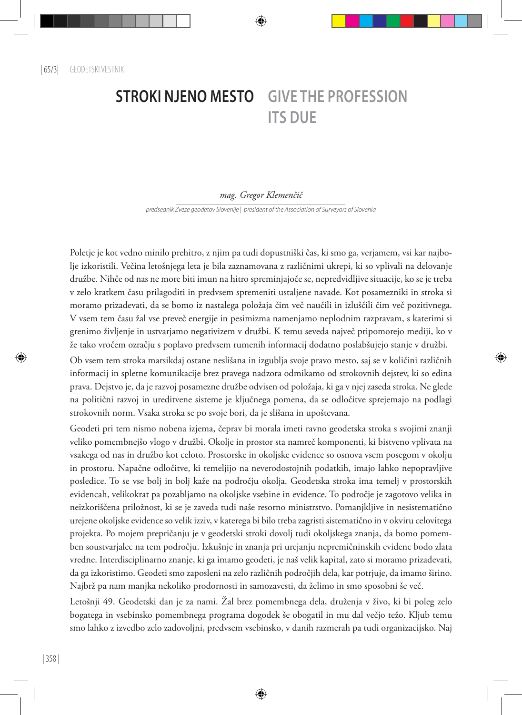## **STROKI NJENO MESTO GIVE THE PROFESSION ITS DUE**

## *mag. Gregor Klemenčič*

*predsednik Zveze geodetov Slovenije | president of the Association of Surveyors of Slovenia*

Poletje je kot vedno minilo prehitro, z njim pa tudi dopustniški čas, ki smo ga, verjamem, vsi kar najbolje izkoristili. Večina letošnjega leta je bila zaznamovana z različnimi ukrepi, ki so vplivali na delovanje družbe. Nihče od nas ne more biti imun na hitro spreminjajoče se, nepredvidljive situacije, ko se je treba v zelo kratkem času prilagoditi in predvsem spremeniti ustaljene navade. Kot posamezniki in stroka si moramo prizadevati, da se bomo iz nastalega položaja čim več naučili in izluščili čim več pozitivnega. V vsem tem času žal vse preveč energije in pesimizma namenjamo neplodnim razpravam, s katerimi si grenimo življenje in ustvarjamo negativizem v družbi. K temu seveda največ pripomorejo mediji, ko v že tako vročem ozračju s poplavo predvsem rumenih informacij dodatno poslabšujejo stanje v družbi.

Ob vsem tem stroka marsikdaj ostane neslišana in izgublja svoje pravo mesto, saj se v količini različnih informacij in spletne komunikacije brez pravega nadzora odmikamo od strokovnih dejstev, ki so edina prava. Dejstvo je, da je razvoj posamezne družbe odvisen od položaja, ki ga v njej zaseda stroka. Ne glede na politični razvoj in ureditvene sisteme je ključnega pomena, da se odločitve sprejemajo na podlagi strokovnih norm. Vsaka stroka se po svoje bori, da je slišana in upoštevana.

Geodeti pri tem nismo nobena izjema, čeprav bi morala imeti ravno geodetska stroka s svojimi znanji veliko pomembnejšo vlogo v družbi. Okolje in prostor sta namreč komponenti, ki bistveno vplivata na vsakega od nas in družbo kot celoto. Prostorske in okoljske evidence so osnova vsem posegom v okolju in prostoru. Napačne odločitve, ki temeljijo na neverodostojnih podatkih, imajo lahko nepopravljive posledice. To se vse bolj in bolj kaže na področju okolja. Geodetska stroka ima temelj v prostorskih evidencah, velikokrat pa pozabljamo na okoljske vsebine in evidence. To področje je zagotovo velika in neizkoriščena priložnost, ki se je zaveda tudi naše resorno ministrstvo. Pomanjkljive in nesistematično urejene okoljske evidence so velik izziv, v katerega bi bilo treba zagristi sistematično in v okviru celovitega projekta. Po mojem prepričanju je v geodetski stroki dovolj tudi okoljskega znanja, da bomo pomemben soustvarjalec na tem področju. Izkušnje in znanja pri urejanju nepremičninskih evidenc bodo zlata vredne. Interdisciplinarno znanje, ki ga imamo geodeti, je naš velik kapital, zato si moramo prizadevati, da ga izkoristimo. Geodeti smo zaposleni na zelo različnih področjih dela, kar potrjuje, da imamo širino. Najbrž pa nam manjka nekoliko prodornosti in samozavesti, da želimo in smo sposobni še več.

Letošnji 49. Geodetski dan je za nami. Žal brez pomembnega dela, druženja v živo, ki bi poleg zelo bogatega in vsebinsko pomembnega programa dogodek še obogatil in mu dal večjo težo. Kljub temu smo lahko z izvedbo zelo zadovoljni, predvsem vsebinsko, v danih razmerah pa tudi organizacijsko. Naj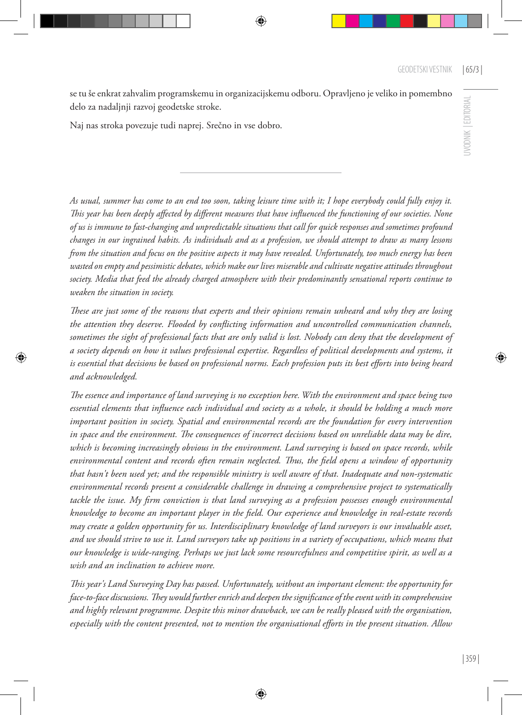UVODNIK | EDITORIAL

JVODNIK EDITORIAL

se tu še enkrat zahvalim programskemu in organizacijskemu odboru. Opravljeno je veliko in pomembno delo za nadaljnji razvoj geodetske stroke.

Naj nas stroka povezuje tudi naprej. Srečno in vse dobro.

*As usual, summer has come to an end too soon, taking leisure time with it; I hope everybody could fully enjoy it. This year has been deeply affected by different measures that have influenced the functioning of our societies. None of us is immune to fast-changing and unpredictable situations that call for quick responses and sometimes profound changes in our ingrained habits. As individuals and as a profession, we should attempt to draw as many lessons from the situation and focus on the positive aspects it may have revealed. Unfortunately, too much energy has been wasted on empty and pessimistic debates, which make our lives miserable and cultivate negative attitudes throughout society. Media that feed the already charged atmosphere with their predominantly sensational reports continue to weaken the situation in society.* 

*These are just some of the reasons that experts and their opinions remain unheard and why they are losing the attention they deserve. Flooded by conflicting information and uncontrolled communication channels, sometimes the sight of professional facts that are only valid is lost. Nobody can deny that the development of a society depends on how it values professional expertise. Regardless of political developments and systems, it is essential that decisions be based on professional norms. Each profession puts its best efforts into being heard and acknowledged.* 

*The essence and importance of land surveying is no exception here. With the environment and space being two essential elements that influence each individual and society as a whole, it should be holding a much more important position in society. Spatial and environmental records are the foundation for every intervention in space and the environment. The consequences of incorrect decisions based on unreliable data may be dire, which is becoming increasingly obvious in the environment. Land surveying is based on space records, while environmental content and records often remain neglected. Thus, the field opens a window of opportunity that hasn't been used yet; and the responsible ministry is well aware of that. Inadequate and non-systematic environmental records present a considerable challenge in drawing a comprehensive project to systematically tackle the issue. My firm conviction is that land surveying as a profession possesses enough environmental knowledge to become an important player in the field. Our experience and knowledge in real-estate records may create a golden opportunity for us. Interdisciplinary knowledge of land surveyors is our invaluable asset, and we should strive to use it. Land surveyors take up positions in a variety of occupations, which means that our knowledge is wide-ranging. Perhaps we just lack some resourcefulness and competitive spirit, as well as a wish and an inclination to achieve more.*

*This year's Land Surveying Day has passed. Unfortunately, without an important element: the opportunity for face-to-face discussions. They would further enrich and deepen the significance of the event with its comprehensive and highly relevant programme. Despite this minor drawback, we can be really pleased with the organisation, especially with the content presented, not to mention the organisational efforts in the present situation. Allow*